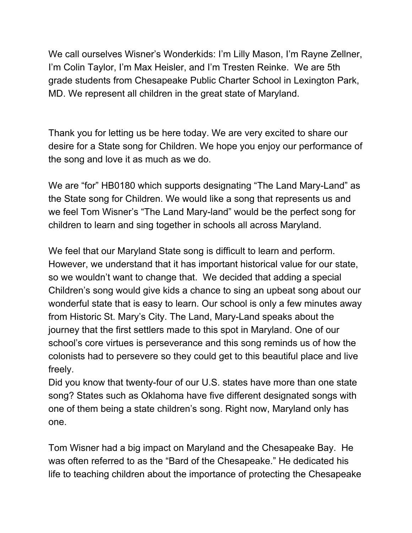We call ourselves Wisner's Wonderkids: I'm Lilly Mason, I'm Rayne Zellner, I'm Colin Taylor, I'm Max Heisler, and I'm Tresten Reinke. We are 5th grade students from Chesapeake Public Charter School in Lexington Park, MD. We represent all children in the great state of Maryland.

Thank you for letting us be here today. We are very excited to share our desire for a State song for Children. We hope you enjoy our performance of the song and love it as much as we do.

We are "for" HB0180 which supports designating "The Land Mary-Land" as the State song for Children. We would like a song that represents us and we feel Tom Wisner's "The Land Mary-land" would be the perfect song for children to learn and sing together in schools all across Maryland.

We feel that our Maryland State song is difficult to learn and perform. However, we understand that it has important historical value for our state, so we wouldn't want to change that. We decided that adding a special Children's song would give kids a chance to sing an upbeat song about our wonderful state that is easy to learn. Our school is only a few minutes away from Historic St. Mary's City. The Land, Mary-Land speaks about the journey that the first settlers made to this spot in Maryland. One of our school's core virtues is perseverance and this song reminds us of how the colonists had to persevere so they could get to this beautiful place and live freely.

Did you know that twenty-four of our U.S. states have more than one state song? States such as Oklahoma have five different designated songs with one of them being a state children's song. Right now, Maryland only has one.

Tom Wisner had a big impact on Maryland and the Chesapeake Bay. He was often referred to as the "Bard of the Chesapeake." He dedicated his life to teaching children about the importance of protecting the Chesapeake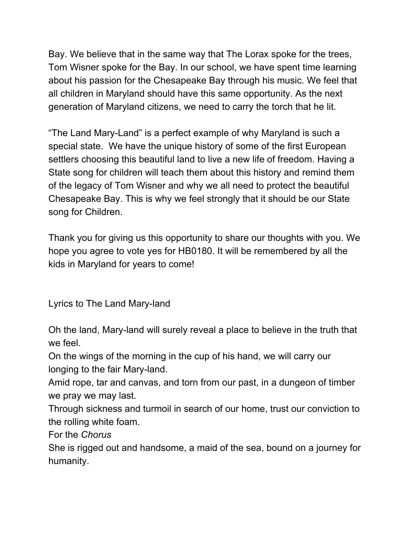Bay. We believe that in the same way that The Lorax spoke for the trees, Tom Wisner spoke for the Bay. In our school, we have spent time learning about his passion for the Chesapeake Bay through his music. We feel that all children in Maryland should have this same opportunity. As the next generation of Maryland citizens, we need to carry the torch that he lit.

"The Land Mary-Land" is a perfect example of why Maryland is such a special state. We have the unique history of some of the first European settlers choosing this beautiful land to live a new life of freedom. Having a State song for children will teach them about this history and remind them of the legacy of Tom Wisner and why we all need to protect the beautiful Chesapeake Bay. This is why we feel strongly that it should be our State song for Children.

Thank you for giving us this opportunity to share our thoughts with you. We hope you agree to vote yes for HB0180. It will be remembered by all the kids in Maryland for years to come!

Lyrics to The Land Mary-land

Oh the land, Mary-land will surely reveal a place to believe in the truth that we feel.

On the wings of the morning in the cup of his hand, we will carry our longing to the fair Mary-land.

Amid rope, tar and canvas, and torn from our past, in a dungeon of timber we pray we may last.

Through sickness and turmoil in search of our home, trust our conviction to the rolling white foam.

For the *Chorus*

She is rigged out and handsome, a maid of the sea, bound on a journey for humanity.